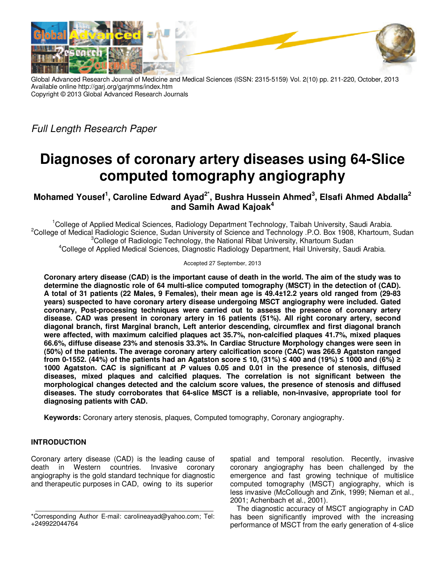

Global Advanced Research Journal of Medicine and Medical Sciences (ISSN: 2315-5159) Vol. 2(10) pp. 211-220, October, 2013 Available online http://garj.org/garjmms/index.htm Copyright © 2013 Global Advanced Research Journals

Full Length Research Paper

# **Diagnoses of coronary artery diseases using 64-Slice computed tomography angiography**

## **Mohamed Yousef<sup>1</sup> , Caroline Edward Ayad2\*, Bushra Hussein Ahmed<sup>3</sup> , Elsafi Ahmed Abdalla<sup>2</sup> and Samih Awad Kajoak<sup>4</sup>**

<sup>1</sup>College of Applied Medical Sciences, Radiology Department Technology, Taibah University, Saudi Arabia. <sup>2</sup>College of Medical Radiologic Science, Sudan University of Science and Technology .P.O. Box 1908, Khartoum, Sudan <sup>3</sup>College of Radiologic Technology, the National Ribat University, Khartoum Sudan <sup>4</sup>College of Applied Medical Sciences, Diagnostic Radiology Department, Hail University, Saudi Arabia.

Accepted 27 September, 2013

**Coronary artery disease (CAD) is the important cause of death in the world. The aim of the study was to determine the diagnostic role of 64 multi-slice computed tomography (MSCT) in the detection of (CAD). A total of 31 patients (22 Males, 9 Females), their mean age is 49.4±12.2 years old ranged from (29-83 years) suspected to have coronary artery disease undergoing MSCT angiography were included. Gated coronary, Post-processing techniques were carried out to assess the presence of coronary artery disease. CAD was present in coronary artery in 16 patients (51%). All right coronary artery, second diagonal branch, first Marginal branch, Left anterior descending, circumflex and first diagonal branch were affected, with maximum calcified plaques act 35.7%, non-calcified plaques 41.7%, mixed plaques 66.6%, diffuse disease 23% and stenosis 33.3%. In Cardiac Structure Morphology changes were seen in (50%) of the patients. The average coronary artery calcification score (CAC) was 266.9 Agatston ranged from 0-1552. (44%) of the patients had an Agatston score ≤ 10, (31%) ≤ 400 and (19%) ≤ 1000 and (6%) ≥ 1000 Agatston. CAC is significant at P values 0.05 and 0.01 in the presence of stenosis, diffused diseases, mixed plaques and calcified plaques. The correlation is not significant between the morphological changes detected and the calcium score values, the presence of stenosis and diffused diseases. The study corroborates that 64-slice MSCT is a reliable, non-invasive, appropriate tool for diagnosing patients with CAD.** 

**Keywords:** Coronary artery stenosis, plaques, Computed tomography, Coronary angiography.

## **INTRODUCTION**

Coronary artery disease (CAD) is the leading cause of death in Western countries. Invasive coronary angiography is the gold standard technique for diagnostic and therapeutic purposes in CAD, owing to its superior

spatial and temporal resolution. Recently, invasive coronary angiography has been challenged by the emergence and fast growing technique of multislice computed tomography (MSCT) angiography, which is less invasive (McCollough and Zink, 1999; Nieman et al., 2001; Achenbach et al., 2001).

The diagnostic accuracy of MSCT angiography in CAD has been significantly improved with the increasing performance of MSCT from the early generation of 4-slice

<sup>\*</sup>Corresponding Author E-mail: carolineayad@yahoo.com; Tel: +249922044764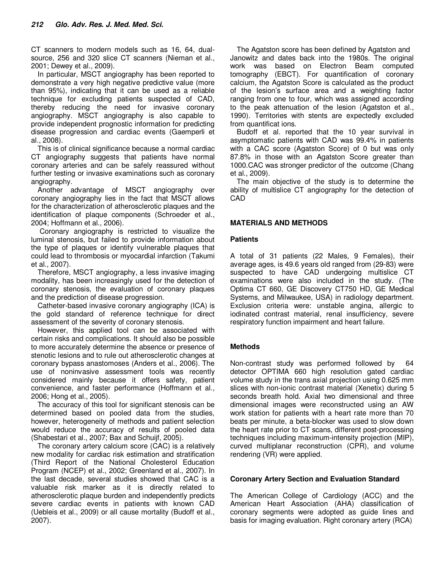CT scanners to modern models such as 16, 64, dualsource, 256 and 320 slice CT scanners (Nieman et al., 2001; Dewey et al., 2009).

In particular, MSCT angiography has been reported to demonstrate a very high negative predictive value (more than 95%), indicating that it can be used as a reliable technique for excluding patients suspected of CAD, thereby reducing the need for invasive coronary angiography. MSCT angiography is also capable to provide independent prognostic information for predicting disease progression and cardiac events (Gaemperli et al., 2008).

This is of clinical significance because a normal cardiac CT angiography suggests that patients have normal coronary arteries and can be safely reassured without further testing or invasive examinations such as coronary angiography.

Another advantage of MSCT angiography over coronary angiography lies in the fact that MSCT allows for the characterization of atherosclerotic plaques and the identification of plaque components (Schroeder et al., 2004; Hoffmann et al., 2006).

 Coronary angiography is restricted to visualize the luminal stenosis, but failed to provide information about the type of plaques or identify vulnerable plaques that could lead to thrombosis or myocardial infarction (Takumi et al., 2007).

Therefore, MSCT angiography, a less invasive imaging modality, has been increasingly used for the detection of coronary stenosis, the evaluation of coronary plaques and the prediction of disease progression.

Catheter-based invasive coronary angiography (ICA) is the gold standard of reference technique for direct assessment of the severity of coronary stenosis.

However, this applied tool can be associated with certain risks and complications. It should also be possible to more accurately determine the absence or presence of stenotic lesions and to rule out atherosclerotic changes at coronary bypass anastomoses (Anders et al., 2006). The use of noninvasive assessment tools was recently considered mainly because it offers safety, patient convenience, and faster performance (Hoffmann et al., 2006; Hong et al., 2005).

The accuracy of this tool for significant stenosis can be determined based on pooled data from the studies, however, heterogeneity of methods and patient selection would reduce the accuracy of results of pooled data (Shabestari et al., 2007; Bax and Schuijf, 2005).

The coronary artery calcium score (CAC) is a relatively new modality for cardiac risk estimation and stratification (Third Report of the National Cholesterol Education Program (NCEP) et al., 2002; Greenland et al., 2007). In the last decade, several studies showed that CAC is a valuable risk marker as it is directly related to atherosclerotic plaque burden and independently predicts severe cardiac events in patients with known CAD (Uebleis et al., 2009) or all cause mortality (Budoff et al., 2007).

The Agatston score has been defined by Agatston and Janowitz and dates back into the 1980s. The original work was based on Electron Beam computed tomography (EBCT). For quantification of coronary calcium, the Agatston Score is calculated as the product of the lesion's surface area and a weighting factor ranging from one to four, which was assigned according to the peak attenuation of the lesion (Agatston et al., 1990). Territories with stents are expectedly excluded from quantificat ions.

Budoff et al. reported that the 10 year survival in asymptomatic patients with CAD was 99.4% in patients with a CAC score (Agatston Score) of 0 but was only 87.8% in those with an Agatston Score greater than 1000.CAC was stronger predictor of the outcome (Chang et al., 2009).

The main objective of the study is to determine the ability of multislice CT angiography for the detection of CAD

## **MATERIALS AND METHODS**

### **Patients**

A total of 31 patients (22 Males, 9 Females), their average ages, is 49.6 years old ranged from (29-83) were suspected to have CAD undergoing multislice CT examinations were also included in the study. (The Optima CT 660, GE Discovery CT750 HD, GE Medical Systems, and Milwaukee, USA) in radiology department. Exclusion criteria were: unstable angina, allergic to iodinated contrast material, renal insufficiency, severe respiratory function impairment and heart failure.

#### **Methods**

Non-contrast study was performed followed by 64 detector OPTIMA 660 high resolution gated cardiac volume study in the trans axial projection using 0.625 mm slices with non-ionic contrast material (Xenetix) during 5 seconds breath hold. Axial two dimensional and three dimensional images were reconstructed using an AW work station for patients with a heart rate more than 70 beats per minute, a beta-blocker was used to slow down the heart rate prior to CT scans, different post-processing techniques including maximum-intensity projection (MIP), curved multiplanar reconstruction (CPR), and volume rendering (VR) were applied.

#### **Coronary Artery Section and Evaluation Standard**

The American College of Cardiology (ACC) and the American Heart Association (AHA) classification of coronary segments were adopted as guide lines and basis for imaging evaluation. Right coronary artery (RCA)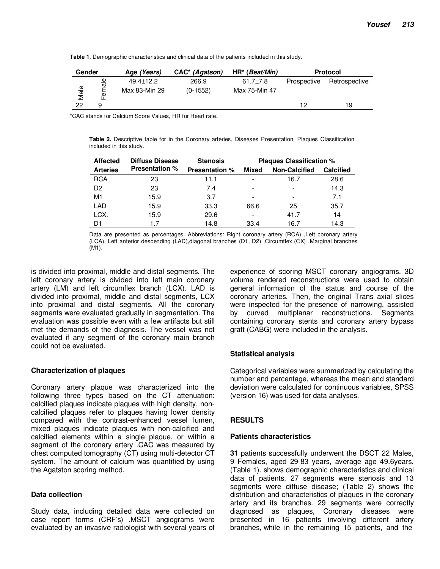| Gender |                                     | Age (Years)                      | CAC <sup>*</sup> (Agatson) | $HR^*(Beat/Min)$                | <b>Protocol</b> |               |
|--------|-------------------------------------|----------------------------------|----------------------------|---------------------------------|-----------------|---------------|
| Male   | ₾<br>ਕ਼ੁ<br>$\overline{\mathbf{v}}$ | $49.4 \pm 12.2$<br>Max 83-Min 29 | 266.9<br>$(0-1552)$        | $61.7 \pm 7.8$<br>Max 75-Min 47 | Prospective     | Retrospective |
| 22     | 9                                   |                                  |                            |                                 | 12              | 19            |

**Table 1**. Demographic characteristics and clinical data of the patients included in this study.

\*CAC stands for Calcium Score Values, HR for Heart rate.

**Table 2.** Descriptive table for in the Coronary arteries, Diseases Presentation, Plaques Classification included in this study.

| <b>Affected</b> | <b>Diffuse Disease</b><br><b>Presentation %</b> | <b>Stenosis</b>       | <b>Plaques Classification %</b> |                      |                  |  |
|-----------------|-------------------------------------------------|-----------------------|---------------------------------|----------------------|------------------|--|
| <b>Arteries</b> |                                                 | <b>Presentation %</b> | <b>Mixed</b>                    | <b>Non-Calcified</b> | <b>Calcified</b> |  |
| <b>RCA</b>      | 23                                              | 11.1                  |                                 | 16.7                 | 28.6             |  |
| D <sub>2</sub>  | 23                                              | 7.4                   |                                 |                      | 14.3             |  |
| M1              | 15.9                                            | 3.7                   |                                 | ۰                    | 7.1              |  |
| LAD             | 15.9                                            | 33.3                  | 66.6                            | 25                   | 35.7             |  |
| LCX.            | 15.9                                            | 29.6                  |                                 | 41.7                 | 14               |  |
| D1              | 17                                              | 14.8                  | 33.4                            | 16.7                 | 14.3             |  |

Data are presented as percentages. Abbreviations: Right coronary artery (RCA) ,Left coronary artery (LCA), Left anterior descending (LAD),diagonal branches (D1, D2) ,Circumflex (CX) ,Marginal branches (M1).

is divided into proximal, middle and distal segments. The left coronary artery is divided into left main coronary artery (LM) and left circumflex branch (LCX). LAD is divided into proximal, middle and distal segments, LCX into proximal and distal segments. All the coronary segments were evaluated gradually in segmentation. The evaluation was possible even with a few artifacts but still met the demands of the diagnosis. The vessel was not evaluated if any segment of the coronary main branch could not be evaluated.

#### **Characterization of plaques**

Coronary artery plaque was characterized into the following three types based on the CT attenuation: calcified plaques indicate plaques with high density, noncalcified plaques refer to plaques having lower density compared with the contrast-enhanced vessel lumen, mixed plaques indicate plaques with non-calcified and calcified elements within a single plaque, or within a segment of the coronary artery .CAC was measured by chest computed tomography (CT) using multi-detector CT system. The amount of calcium was quantified by using the Agatston scoring method.

#### **Data collection**

Study data, including detailed data were collected on case report forms (CRF's) .MSCT angiograms were evaluated by an invasive radiologist with several years of

experience of scoring MSCT coronary angiograms. 3D volume rendered reconstructions were used to obtain general information of the status and course of the coronary arteries. Then, the original Trans axial slices were inspected for the presence of narrowing, assisted by curved multiplanar reconstructions. Segments containing coronary stents and coronary artery bypass graft (CABG) were included in the analysis.

## **Statistical analysis**

Categorical variables were summarized by calculating the number and percentage, whereas the mean and standard deviation were calculated for continuous variables, SPSS (version 16) was used for data analyses.

## **RESULTS**

#### **Patients characteristics**

**31** patients successfully underwent the DSCT 22 Males, 9 Females, aged 29-83 years, average age 49.6years. (Table 1). shows demographic characteristics and clinical data of patients. 27 segments were stenosis and 13 segments were diffuse disease; (Table 2) shows the distribution and characteristics of plaques in the coronary artery and its branches. 29 segments were correctly diagnosed as plaques, Coronary diseases were presented in 16 patients involving different artery branches, while in the remaining 15 patients, and the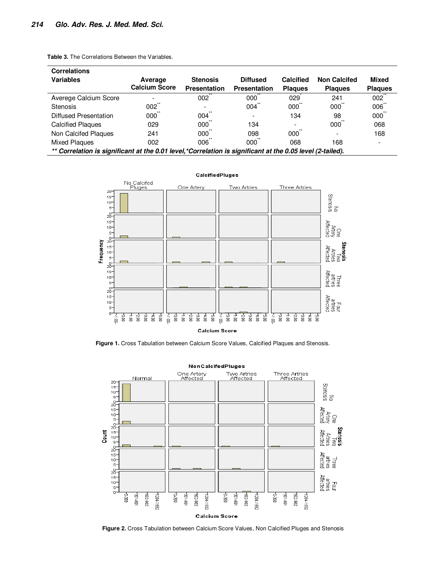**Table 3.** The Correlations Between the Variables.

| <b>Correlations</b>                                                                                        |                      |                     |                     |                  |                     |                     |
|------------------------------------------------------------------------------------------------------------|----------------------|---------------------|---------------------|------------------|---------------------|---------------------|
| <b>Variables</b>                                                                                           | Average              | <b>Stenosis</b>     | <b>Diffused</b>     | <b>Calcified</b> | <b>Non Calcifed</b> | Mixed               |
|                                                                                                            | <b>Calcium Score</b> | <b>Presentation</b> | <b>Presentation</b> | <b>Plagues</b>   | <b>Plagues</b>      | <b>Plagues</b>      |
| Averege Calcium Score                                                                                      | ۰                    | $002^{**}$          | 000                 | 029              | 241                 | $002$ <sup>**</sup> |
| <b>Stenosis</b>                                                                                            | 002                  | -                   | 004                 | 000              | 000                 | 006                 |
| Diffused Presentation                                                                                      | $000^{\circ}$        | 004                 |                     | 134              | 98                  | 000                 |
| <b>Calcified Plaques</b>                                                                                   | 029                  | 000                 | 134                 |                  | 000                 | 068                 |
| Non Calcifed Plaques                                                                                       | 241                  | 000                 | 098                 | 000              |                     | 168                 |
| <b>Mixed Plaques</b>                                                                                       | 002                  | 006                 | 000                 | 068              | 168                 |                     |
| ** Correlation is significant at the 0.01 level, *Correlation is significant at the 0.05 level (2-tailed). |                      |                     |                     |                  |                     |                     |



**Figure 1.** Cross Tabulation between Calcium Score Values, Calcified Plaques and Stenosis.



**Figure 2.** Cross Tabulation between Calcium Score Values, Non Calcified Pluges and Stenosis

**CalcifiedPluges**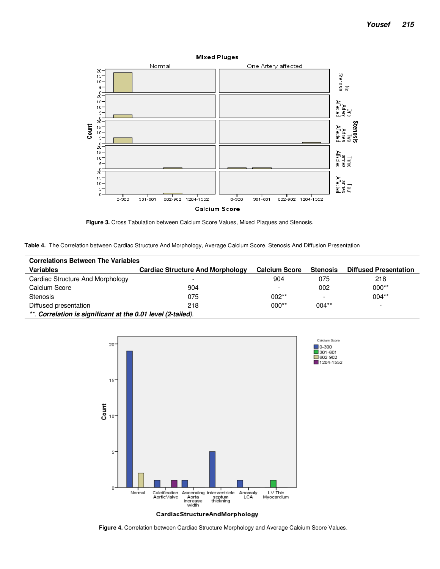

**Figure 3.** Cross Tabulation between Calcium Score Values, Mixed Plaques and Stenosis.

**Table 4.** The Correlation between Cardiac Structure And Morphology, Average Calcium Score, Stenosis And Diffusion Presentation

| <b>Correlations Between The Variables</b>                    |                                         |                          |                 |                              |  |  |
|--------------------------------------------------------------|-----------------------------------------|--------------------------|-----------------|------------------------------|--|--|
| <b>Variables</b>                                             | <b>Cardiac Structure And Morphology</b> | <b>Calcium Score</b>     | <b>Stenosis</b> | <b>Diffused Presentation</b> |  |  |
| Cardiac Structure And Morphology                             |                                         | 904                      | 075             | 218                          |  |  |
| Calcium Score                                                | 904                                     | $\overline{\phantom{0}}$ | 002             | $000**$                      |  |  |
| Stenosis                                                     | 075                                     | $002**$                  |                 | $004**$                      |  |  |
| Diffused presentation                                        | 218                                     | $000**$                  | $004**$         |                              |  |  |
| **. Correlation is significant at the 0.01 level (2-tailed). |                                         |                          |                 |                              |  |  |



**Figure 4.** Correlation between Cardiac Structure Morphology and Average Calcium Score Values.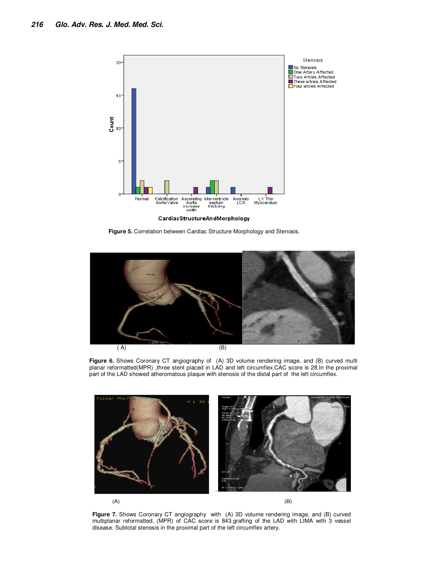

**Figure 5.** Correlation between Cardiac Structure Morphology and Stenosis.



**Figure 6.** Shows Coronary CT angiography of (A) 3D volume rendering image, and (B) curved multi planar reformatted(MPR) , three stent placed in LAD and left circumflex.CAC score is 28.In the proximal part of the LAD showed atheromatous plaque with stenosis of the distal part of the left circumflex.



**Figure 7.** Shows Coronary CT angiography with (A) 3D volume rendering image, and (B) curved multiplanar reformatted, (MPR) of CAC score is 843.grafting of the LAD with LIMA with 3 vessel disease. Subtotal stenosis in the proximal part of the left circumflex artery.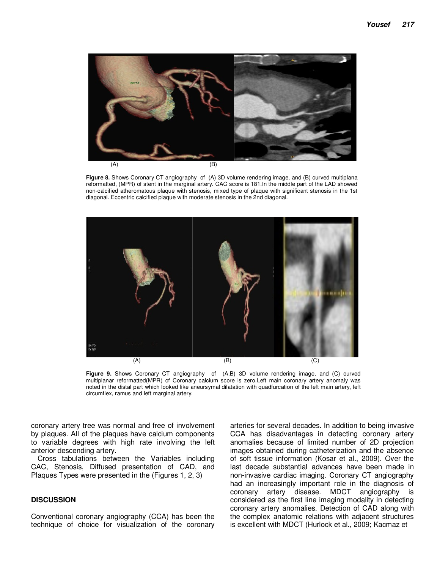

**Figure 8.** Shows Coronary CT angiography of (A) 3D volume rendering image, and (B) curved multiplana reformatted, (MPR) of stent in the marginal artery. CAC score is 181.In the middle part of the LAD showed non-calcified atheromatous plaque with stenosis, mixed type of plaque with significant stenosis in the 1st diagonal. Eccentric calcified plaque with moderate stenosis in the 2nd diagonal.



**Figure 9.** Shows Coronary CT angiography of (A.B) 3D volume rendering image, and (C) curved multiplanar reformatted(MPR) of Coronary calcium score is zero.Left main coronary artery anomaly was noted in the distal part which looked like aneursymal dilatation with quadfurcation of the left main artery, left circumflex, ramus and left marginal artery.

coronary artery tree was normal and free of involvement by plaques. All of the plaques have calcium components to variable degrees with high rate involving the left anterior descending artery.

Cross tabulations between the Variables including CAC, Stenosis, Diffused presentation of CAD, and Plaques Types were presented in the (Figures 1, 2, 3)

#### **DISCUSSION**

Conventional coronary angiography (CCA) has been the technique of choice for visualization of the coronary

arteries for several decades. In addition to being invasive CCA has disadvantages in detecting coronary artery anomalies because of limited number of 2D projection images obtained during catheterization and the absence of soft tissue information (Kosar et al., 2009). Over the last decade substantial advances have been made in non-invasive cardiac imaging. Coronary CT angiography had an increasingly important role in the diagnosis of coronary artery disease. MDCT angiography is considered as the first line imaging modality in detecting coronary artery anomalies. Detection of CAD along with the complex anatomic relations with adjacent structures is excellent with MDCT (Hurlock et al., 2009; Kacmaz et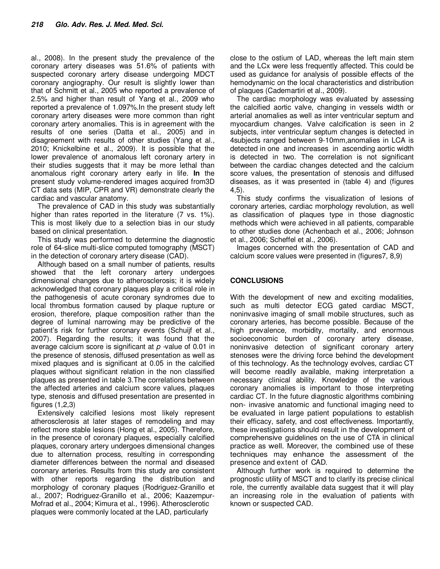al., 2008). In the present study the prevalence of the coronary artery diseases was 51.6% of patients with suspected coronary artery disease undergoing MDCT coronary angiography. Our result is slightly lower than that of Schmitt et al., 2005 who reported a prevalence of 2.5% and higher than result of Yang et al., 2009 who reported a prevalence of 1.097%.In the present study left coronary artery diseases were more common than right coronary artery anomalies. This is in agreement with the results of one series (Datta et al., 2005) and in disagreement with results of other studies (Yang et al., 2010; Knickelbine et al., 2009). It is possible that the lower prevalence of anomalous left coronary artery in their studies suggests that it may be more lethal than anomalous right coronary artery early in life. **In** the present study volume-rendered images acquired from3D CT data sets (MIP, CPR and VR) demonstrate clearly the cardiac and vascular anatomy.

The prevalence of CAD in this study was substantially higher than rates reported in the literature (7 vs. 1%). This is most likely due to a selection bias in our study based on clinical presentation.

This study was performed to determine the diagnostic role of 64-slice multi-slice computed tomography (MSCT) in the detection of coronary artery disease (CAD).

Although based on a small number of patients, results showed that the left coronary artery undergoes dimensional changes due to atherosclerosis; it is widely acknowledged that coronary plaques play a critical role in the pathogenesis of acute coronary syndromes due to local thrombus formation caused by plaque rupture or erosion, therefore, plaque composition rather than the degree of luminal narrowing may be predictive of the patient's risk for further coronary events (Schuijf et al., 2007). Regarding the results; it was found that the average calcium score is significant at  $p$  -value of 0.01 in the presence of stenosis, diffused presentation as well as mixed plaques and is significant at 0.05 in the calcified plaques without significant relation in the non classified plaques as presented in table 3.The correlations between the affected arteries and calcium score values, plaques type, stenosis and diffused presentation are presented in figures (1,2,3)

Extensively calcified lesions most likely represent atherosclerosis at later stages of remodeling and may reflect more stable lesions (Hong et al., 2005). Therefore, in the presence of coronary plaques, especially calcified plaques, coronary artery undergoes dimensional changes due to alternation process, resulting in corresponding diameter differences between the normal and diseased coronary arteries. Results from this study are consistent with other reports regarding the distribution and morphology of coronary plaques (Rodriguez-Granillo et al., 2007; Rodriguez-Granillo et al., 2006; Kaazempur-Mofrad et al., 2004; Kimura et al., 1996). Atherosclerotic plaques were commonly located at the LAD, particularly

close to the ostium of LAD, whereas the left main stem and the LCx were less frequently affected. This could be used as guidance for analysis of possible effects of the hemodynamic on the local characteristics and distribution of plaques (Cademartiri et al., 2009).

The cardiac morphology was evaluated by assessing the calcified aortic valve, changing in vessels width or arterial anomalies as well as inter ventricular septum and myocardium changes. Valve calcification is seen in 2 subjects, inter ventricular septum changes is detected in 4subjects ranged between 9-10mm,anomalies in LCA is detected in one and increases in ascending aortic width is detected in two. The correlation is not significant between the cardiac changes detected and the calcium score values, the presentation of stenosis and diffused diseases, as it was presented in (table 4) and (figures 4,5).

This study confirms the visualization of lesions of coronary arteries, cardiac morphology revolution, as well as classification of plaques type in those diagnostic methods which were achieved in all patients, comparable to other studies done (Achenbach et al., 2006; Johnson et al., 2006; Scheffel et al., 2006).

Images concerned with the presentation of CAD and calcium score values were presented in (figures7, 8,9)

## **CONCLUSIONS**

With the development of new and exciting modalities, such as multi detector ECG gated cardiac MSCT, noninvasive imaging of small mobile structures, such as coronary arteries, has become possible. Because of the high prevalence, morbidity, mortality, and enormous socioeconomic burden of coronary artery disease, noninvasive detection of significant coronary artery stenoses were the driving force behind the development of this technology. As the technology evolves, cardiac CT will become readily available, making interpretation a necessary clinical ability. Knowledge of the various coronary anomalies is important to those interpreting cardiac CT. In the future diagnostic algorithms combining non- invasive anatomic and functional imaging need to be evaluated in large patient populations to establish their efficacy, safety, and cost effectiveness. Importantly, these investigations should result in the development of comprehensive guidelines on the use of CTA in clinical practice as well. Moreover, the combined use of these techniques may enhance the assessment of the presence and extent of CAD.

Although further work is required to determine the prognostic utility of MSCT and to clarify its precise clinical role, the currently available data suggest that it will play an increasing role in the evaluation of patients with known or suspected CAD.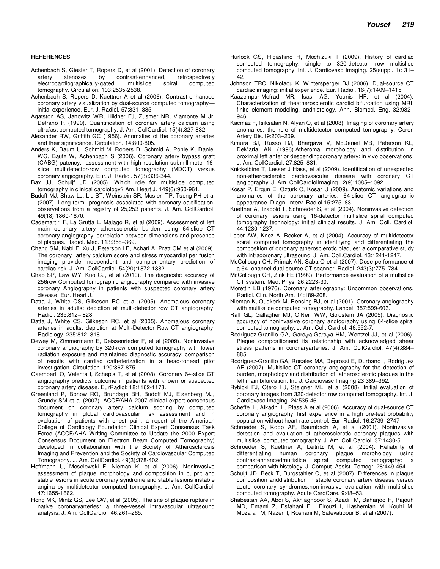#### **REFERENCES**

- Achenbach S, Giesler T, Ropers D, et al (2001). Detection of coronary artery stenoses by contrast-enhanced, retrospectively electrocardiographically-gated, multislice spiral computed tomography. Circulation. 103:2535-2538.
- Achenbach S, Ropers D, Kuettner A et al (2006). Contrast-enhanced coronary artery visualization by dual-source computed tomography initial experience. Eur. J. Radiol. 57:331–335
- Agatston AS, Janowitz WR, Hildner FJ, Zusmer NR, Viamonte M Jr, Detrano R (1990). Quantification of coronary artery calcium using ultrafast computed tomography. J. Am. CollCardiol. 15(4):827-832.
- Alexander RW, Griffith GC (1956). Anomalies of the coronary arteries and their significance. Circulation. 14:800-805.
- Anders K, Baum U, Schmid M, Ropers D, Schmid A, Pohle K, Daniel WG, Bautz W, Achenbach S (2006). Coronary artery bypass graft (CABG) patency: assessment with high resolution submillimeter 16 slice multidetector-row computed tomography (MDCT) versus coronary angiography. Eur. J. Radiol. 57(3):336-344.
- Bax JJ, Schuijf JD (2005). Which role for multislice computed tomography in clinical cardiology? Am. Heart J. 149(6):960-961.
- Budoff MJ, Shaw LJ, Liu ST, Weinstein SR, Mosler TP, Tseng PH et al (2007). Long-term prognosis associated with coronary calcification: observations from a registry of 25,253 patients. J. Am. CollCardiol. 49(18):1860-1870.
- Cademartiri F, La Grutta L, Malago R, et al (2009). Assessment of left main coronary artery atherosclerotic burden using 64-slice CT coronary angiography: correlation between dimensions and presence of plaques. Radiol. Med. 113:358–369.
- Chang SM, Nabi F, Xu J, Peterson LE, Achari A, Pratt CM et al (2009). The coronary artery calcium score and stress myocardial per fusion imaging provide independent and complementary prediction of cardiac risk. J. Am. CollCardiol. 54(20):1872-1882.
- Chao SP, Law WY, Kuo CJ, et al (2010). The diagnostic accuracy of 256row Computed tomographic angiography compared with invasive coronary Angiography in patients with suspected coronary artery disease. Eur. Heart J.
- Datta J, White CS, Gilkeson RC et al (2005). Anomalous coronary arteries in adults: depiction at multi-detector row CT angiography. Radiol. 235:812– 828
- Datta J, White CS, Gilkeson RC, et al (2005). Anomalous coronary arteries in adults: depiction at Multi-Detector Row CT angiography. Radiology. 235:812–818.
- Dewey M, Zimmermann E, Deissenrieder F, et al (2009). Noninvasive coronary angiography by 320-row computed tomography with lower radiation exposure and maintained diagnostic accuracy: comparison of results with cardiac catheterization in a head-tohead pilot investigation. Circulation. 120:867-875.
- Gaemperli O, Valenta I, Schepis T, et al (2008). Coronary 64-slice CT angiography predicts outcome in patients with known or suspected coronary artery disease. EurRadiol; 18:1162-1173.
- Greenland P, Bonow RO, Brundage BH, Budoff MJ, Eisenberg MJ, Grundy SM et al (2007). ACCF/AHA 2007 clinical expert consensus document on coronary artery calcium scoring by computed tomography in global cardiovascular risk assessment and in evaluation of patients with chest pain: a report of the American College of Cardiology Foundation Clinical Expert Consensus Task Force (ACCF/AHA Writing Committee to Update the 2000 Expert Consensus Document on Electron Beam Computed Tomography) developed in collaboration with the Society of Atherosclerosis Imaging and Prevention and the Society of Cardiovascular Computed Tomography. J. Am. CollCardiol. 49(3):378-402
- Hoffmann U, Moselewski F, Nieman K, et al (2006). Noninvasive assessment of plaque morphology and composition in culprit and stable lesions in acute coronary syndrome and stable lesions instable angina by multidetector computed tomography. J. Am. CollCardiol; 47:1655-1662.
- Hong MK, Mintz GS, Lee CW, et al (2005). The site of plaque rupture in native coronaryarteries: a three-vessel intravascular ultrasound analysis. J. Am. CollCardiol. 46:261–265.
- Hurlock GS, Higashino H, Mochizuki T (2009). History of cardiac computed tomography: single to 320-detector row multislice computed tomography. Int. J. Cardiovasc Imaging. 25(suppl. 1): 31– 42.
- Johnson TRC, Nikolaou K, Wintersperger BJ (2006). Dual-source CT cardiac imaging: initial experience. Eur. Radiol. 16(7):1409–1415
- Kaazempur-Mofrad MR, Isasi AG, Younis HF, et al (2004). Characterization of theatherosclerotic carotid bifurcation using MRI, finite element modeling, andhistology. Ann. Biomed. Eng. 32:932– 946.
- Kacmaz F, Isiksalan N, Alyan O, et al (2008). Imaging of coronary artery anomalies: the role of multidetector computed tomography. Coron Artery Dis.19:203–209.
- Kimura BJ, Russo RJ, Bhargava V, McDaniel MB, Peterson KL, DeMaria AN (1996).Atheroma morphology and distribution in proximal left anterior descendingcoronary artery: in vivo observations. J. Am. CollCardiol. 27:825–831.
- Knickelbine T, Lesser J Hass, et al (2009). Identification of unexpected non-atherosclerotic cardiovascular disease with coronary CT angiography. J. Am. CollCardiolImaging. 2(9):1085–1092.
- Kosar P, Ergun E, Ozturk C, Kosar U (2009). Anatomic variations and anomalies of the coronary arteries: 64-slice CT angiographic appearance. Diagn. Interv. Radiol.15:275–83.
- Kuettner A, Trabold T, Schroeder S, et al (2004). Noninvasive detection of coronary lesions using 16-detector multislice spiral computed tomography technology: initial clinical results. J. Am. Coll. Cardiol. 44:1230-1237.
- Leber AW, Knez A, Becker A, et al (2004). Accuracy of multidetector spiral computed tomography in identifying and differentiating the composition of coronary atherosclerotic plaques: a comparative study with intracoronary ultrasound. J. Am. Coll.Cardiol. 43:1241-1247.
- McCollough CH, Primak AN, Saba O et al (2007). Dose performance of a 64- channel dual-source CT scanner. Radiol. 243(3):775–784
- McCollough CH, Zink FE (1999). Performance evaluation of a multislice CT system. Med. Phys. 26:2223-30.
- Morettin LB (1976). Coronary arteriography: Uncommon observations. Radiol. Clin. North Am. 14:189-208.
- Nieman K, Oudkerk M, Rensing BJ, et al (2001). Coronary angiography with multi-slice computed tomography. Lancet. 357:599-603.
- Raff GL, Gallagher MJ, O'Neill WW, Goldstein JA (2005). Diagnostic accuracy of noninvasive coronary angiography using 64-slice spiral computed tomography. J. Am. Coll. Cardiol. 46:552-7.
- Rodriguez-Granillo GA, Garcيa-Garcيa HM, Wentzel JJ, et al (2006). Plaque compositionand its relationship with acknowledged shear stress patterns in coronaryarteries. J. Am. CollCardiol. 47(4):884– 885.
- Rodriguez-Granillo GA, Rosales MA, Degrossi E, Durbano I, Rodriguez AE (2007). Multislice CT coronary angiography for the detection of burden, morphology and distribution of atherosclerotic plaques in the left main bifurcation. Int. J. Cardiovasc Imaging 23:389–392.
- Rybicki FJ, Otero HJ, Steigner ML, et al (2008). Initial evaluation of coronary images from 320-detector row computed tomography. Int. J. Cardiovasc Imaging. 24:535-46.
- Scheffel H, Alkadhi H, Plass A et al (2006). Accuracy of dual-source CT coronary angiography: first experience in a high pre-test probability population without heart rate control. Eur. Radiol. 16:2739–2747
- Schroeder S, Kopp AF, Baumbach A, et al (2001). Noninvasive detection and evaluation of atherosclerotic coronary plaques with multislice computed tomography. J. Am. Coll.Cardiol. 37:1430-5.
- Schroeder S, Kuettner A, Leitritz M, et al (2004). Reliability of differentiating human coronary plaque morphology using contrastenhancedmultislice spiral computed tomography: a comparison with histology. J. Comput. Assist. Tomogr. 28:449-454.
- Schuijf JD, Beck T, Burgstahler C, et al (2007). Differences in plaque composition anddistribution in stable coronary artery disease versus acute coronary syndromes;non-invasive evaluation with multi-slice computed tomography. Acute CardCare. 9:48–53.
- Shabestari AA, Abdi S, Akhlaghpoor S, Azadi M, Baharjoo H, Pajouh MD, Emami Z, Esfahani F, Firouzi I, Hashemian M, Kouhi M, Mozafari M, Nazeri I, Roshani M, Salevatipour B, et al (2007).